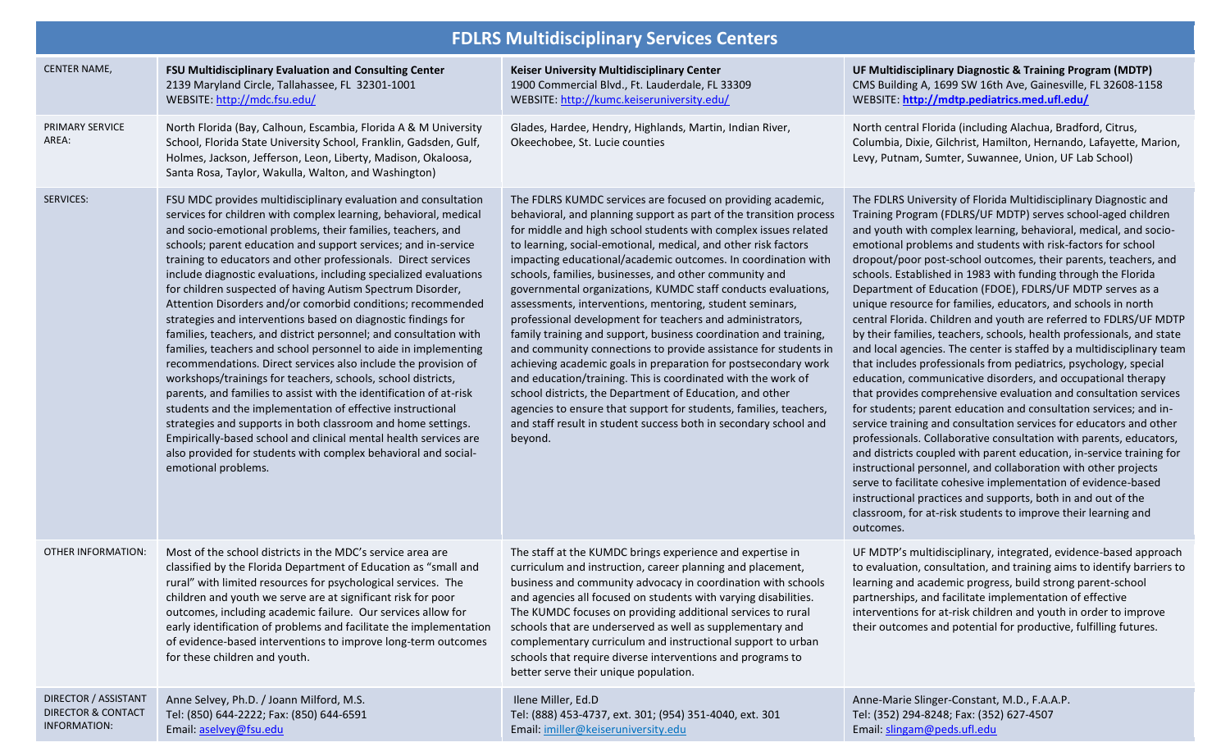| <b>FDLRS Multidisciplinary Services Centers</b>                       |                                                                                                                                                                                                                                                                                                                                                                                                                                                                                                                                                                                                                                                                                                                                                                                                                                                                                                                                                                                                                                                                                                                                                                                                                                                     |                                                                                                                                                                                                                                                                                                                                                                                                                                                                                                                                                                                                                                                                                                                                                                                                                                                                                                                                                                                                                                                                                      |                                                                                                                                                                                                                                                                                                                                                                                                                                                                                                                                                                                                                                                                                                                                                                                                                                                                                                                                                                                                                                                                                                                                                                                                                                                                                                                                                                                                                                                                                                                                                 |  |
|-----------------------------------------------------------------------|-----------------------------------------------------------------------------------------------------------------------------------------------------------------------------------------------------------------------------------------------------------------------------------------------------------------------------------------------------------------------------------------------------------------------------------------------------------------------------------------------------------------------------------------------------------------------------------------------------------------------------------------------------------------------------------------------------------------------------------------------------------------------------------------------------------------------------------------------------------------------------------------------------------------------------------------------------------------------------------------------------------------------------------------------------------------------------------------------------------------------------------------------------------------------------------------------------------------------------------------------------|--------------------------------------------------------------------------------------------------------------------------------------------------------------------------------------------------------------------------------------------------------------------------------------------------------------------------------------------------------------------------------------------------------------------------------------------------------------------------------------------------------------------------------------------------------------------------------------------------------------------------------------------------------------------------------------------------------------------------------------------------------------------------------------------------------------------------------------------------------------------------------------------------------------------------------------------------------------------------------------------------------------------------------------------------------------------------------------|-------------------------------------------------------------------------------------------------------------------------------------------------------------------------------------------------------------------------------------------------------------------------------------------------------------------------------------------------------------------------------------------------------------------------------------------------------------------------------------------------------------------------------------------------------------------------------------------------------------------------------------------------------------------------------------------------------------------------------------------------------------------------------------------------------------------------------------------------------------------------------------------------------------------------------------------------------------------------------------------------------------------------------------------------------------------------------------------------------------------------------------------------------------------------------------------------------------------------------------------------------------------------------------------------------------------------------------------------------------------------------------------------------------------------------------------------------------------------------------------------------------------------------------------------|--|
| <b>CENTER NAME,</b>                                                   | FSU Multidisciplinary Evaluation and Consulting Center<br>2139 Maryland Circle, Tallahassee, FL 32301-1001<br>WEBSITE: http://mdc.fsu.edu/                                                                                                                                                                                                                                                                                                                                                                                                                                                                                                                                                                                                                                                                                                                                                                                                                                                                                                                                                                                                                                                                                                          | <b>Keiser University Multidisciplinary Center</b><br>1900 Commercial Blvd., Ft. Lauderdale, FL 33309<br>WEBSITE: http://kumc.keiseruniversity.edu/                                                                                                                                                                                                                                                                                                                                                                                                                                                                                                                                                                                                                                                                                                                                                                                                                                                                                                                                   | UF Multidisciplinary Diagnostic & Training Program (MDTP)<br>CMS Building A, 1699 SW 16th Ave, Gainesville, FL 32608-1158<br>WEBSITE: http://mdtp.pediatrics.med.ufl.edu/                                                                                                                                                                                                                                                                                                                                                                                                                                                                                                                                                                                                                                                                                                                                                                                                                                                                                                                                                                                                                                                                                                                                                                                                                                                                                                                                                                       |  |
| PRIMARY SERVICE<br>AREA:                                              | North Florida (Bay, Calhoun, Escambia, Florida A & M University<br>School, Florida State University School, Franklin, Gadsden, Gulf,<br>Holmes, Jackson, Jefferson, Leon, Liberty, Madison, Okaloosa,<br>Santa Rosa, Taylor, Wakulla, Walton, and Washington)                                                                                                                                                                                                                                                                                                                                                                                                                                                                                                                                                                                                                                                                                                                                                                                                                                                                                                                                                                                       | Glades, Hardee, Hendry, Highlands, Martin, Indian River,<br>Okeechobee, St. Lucie counties                                                                                                                                                                                                                                                                                                                                                                                                                                                                                                                                                                                                                                                                                                                                                                                                                                                                                                                                                                                           | North central Florida (including Alachua, Bradford, Citrus,<br>Columbia, Dixie, Gilchrist, Hamilton, Hernando, Lafayette, Marion,<br>Levy, Putnam, Sumter, Suwannee, Union, UF Lab School)                                                                                                                                                                                                                                                                                                                                                                                                                                                                                                                                                                                                                                                                                                                                                                                                                                                                                                                                                                                                                                                                                                                                                                                                                                                                                                                                                      |  |
| <b>SERVICES:</b>                                                      | FSU MDC provides multidisciplinary evaluation and consultation<br>services for children with complex learning, behavioral, medical<br>and socio-emotional problems, their families, teachers, and<br>schools; parent education and support services; and in-service<br>training to educators and other professionals. Direct services<br>include diagnostic evaluations, including specialized evaluations<br>for children suspected of having Autism Spectrum Disorder,<br>Attention Disorders and/or comorbid conditions; recommended<br>strategies and interventions based on diagnostic findings for<br>families, teachers, and district personnel; and consultation with<br>families, teachers and school personnel to aide in implementing<br>recommendations. Direct services also include the provision of<br>workshops/trainings for teachers, schools, school districts,<br>parents, and families to assist with the identification of at-risk<br>students and the implementation of effective instructional<br>strategies and supports in both classroom and home settings.<br>Empirically-based school and clinical mental health services are<br>also provided for students with complex behavioral and social-<br>emotional problems. | The FDLRS KUMDC services are focused on providing academic,<br>behavioral, and planning support as part of the transition process<br>for middle and high school students with complex issues related<br>to learning, social-emotional, medical, and other risk factors<br>impacting educational/academic outcomes. In coordination with<br>schools, families, businesses, and other community and<br>governmental organizations, KUMDC staff conducts evaluations,<br>assessments, interventions, mentoring, student seminars,<br>professional development for teachers and administrators,<br>family training and support, business coordination and training,<br>and community connections to provide assistance for students in<br>achieving academic goals in preparation for postsecondary work<br>and education/training. This is coordinated with the work of<br>school districts, the Department of Education, and other<br>agencies to ensure that support for students, families, teachers,<br>and staff result in student success both in secondary school and<br>beyond. | The FDLRS University of Florida Multidisciplinary Diagnostic and<br>Training Program (FDLRS/UF MDTP) serves school-aged children<br>and youth with complex learning, behavioral, medical, and socio-<br>emotional problems and students with risk-factors for school<br>dropout/poor post-school outcomes, their parents, teachers, and<br>schools. Established in 1983 with funding through the Florida<br>Department of Education (FDOE), FDLRS/UF MDTP serves as a<br>unique resource for families, educators, and schools in north<br>central Florida. Children and youth are referred to FDLRS/UF MDTP<br>by their families, teachers, schools, health professionals, and state<br>and local agencies. The center is staffed by a multidisciplinary team<br>that includes professionals from pediatrics, psychology, special<br>education, communicative disorders, and occupational therapy<br>that provides comprehensive evaluation and consultation services<br>for students; parent education and consultation services; and in-<br>service training and consultation services for educators and other<br>professionals. Collaborative consultation with parents, educators,<br>and districts coupled with parent education, in-service training for<br>instructional personnel, and collaboration with other projects<br>serve to facilitate cohesive implementation of evidence-based<br>instructional practices and supports, both in and out of the<br>classroom, for at-risk students to improve their learning and<br>outcomes. |  |
| <b>OTHER INFORMATION:</b>                                             | Most of the school districts in the MDC's service area are<br>classified by the Florida Department of Education as "small and<br>rural" with limited resources for psychological services. The<br>children and youth we serve are at significant risk for poor<br>outcomes, including academic failure. Our services allow for<br>early identification of problems and facilitate the implementation<br>of evidence-based interventions to improve long-term outcomes<br>for these children and youth.                                                                                                                                                                                                                                                                                                                                                                                                                                                                                                                                                                                                                                                                                                                                              | The staff at the KUMDC brings experience and expertise in<br>curriculum and instruction, career planning and placement,<br>business and community advocacy in coordination with schools<br>and agencies all focused on students with varying disabilities.<br>The KUMDC focuses on providing additional services to rural<br>schools that are underserved as well as supplementary and<br>complementary curriculum and instructional support to urban<br>schools that require diverse interventions and programs to<br>better serve their unique population.                                                                                                                                                                                                                                                                                                                                                                                                                                                                                                                         | UF MDTP's multidisciplinary, integrated, evidence-based approach<br>to evaluation, consultation, and training aims to identify barriers to<br>learning and academic progress, build strong parent-school<br>partnerships, and facilitate implementation of effective<br>interventions for at-risk children and youth in order to improve<br>their outcomes and potential for productive, fulfilling futures.                                                                                                                                                                                                                                                                                                                                                                                                                                                                                                                                                                                                                                                                                                                                                                                                                                                                                                                                                                                                                                                                                                                                    |  |
| DIRECTOR / ASSISTANT<br><b>DIRECTOR &amp; CONTACT</b><br>INFORMATION: | Anne Selvey, Ph.D. / Joann Milford, M.S.<br>Tel: (850) 644-2222; Fax: (850) 644-6591<br>Email: aselvey@fsu.edu                                                                                                                                                                                                                                                                                                                                                                                                                                                                                                                                                                                                                                                                                                                                                                                                                                                                                                                                                                                                                                                                                                                                      | Ilene Miller, Ed.D<br>Tel: (888) 453-4737, ext. 301; (954) 351-4040, ext. 301<br>Email: imiller@keiseruniversity.edu                                                                                                                                                                                                                                                                                                                                                                                                                                                                                                                                                                                                                                                                                                                                                                                                                                                                                                                                                                 | Anne-Marie Slinger-Constant, M.D., F.A.A.P.<br>Tel: (352) 294-8248; Fax: (352) 627-4507<br>Email: slingam@peds.ufl.edu                                                                                                                                                                                                                                                                                                                                                                                                                                                                                                                                                                                                                                                                                                                                                                                                                                                                                                                                                                                                                                                                                                                                                                                                                                                                                                                                                                                                                          |  |